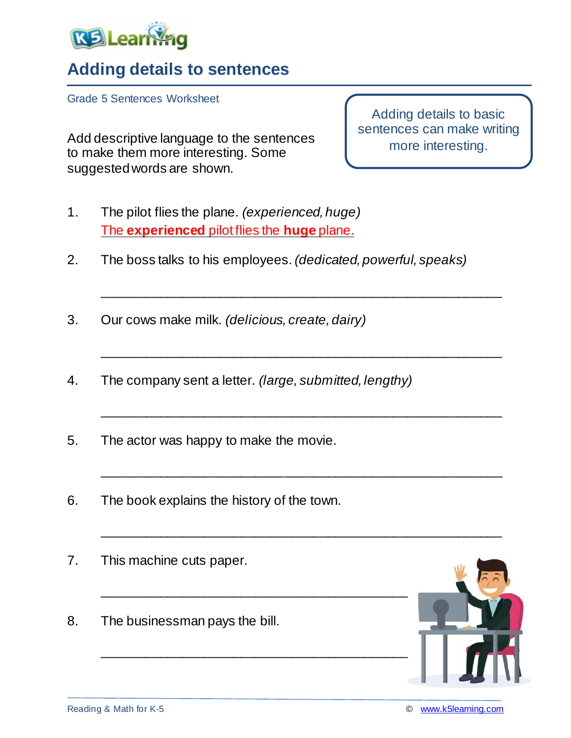

## **Adding details to sentences**

Grade 5 Sentences Worksheet

Add descriptive language to the sentences to make them more interesting. Some suggested words are shown.

Adding details to basic sentences can make writing more interesting.

- 1. The pilot flies the plane. *(experienced, huge)* The **experienced** pilot flies the **huge** plane.
- 2. The boss talks to his employees. *(dedicated, powerful, speaks)*

\_\_\_\_\_\_\_\_\_\_\_\_\_\_\_\_\_\_\_\_\_\_\_\_\_\_\_\_\_\_\_\_\_\_\_\_\_\_\_\_\_\_\_\_\_\_\_\_\_\_\_\_\_\_\_

\_\_\_\_\_\_\_\_\_\_\_\_\_\_\_\_\_\_\_\_\_\_\_\_\_\_\_\_\_\_\_\_\_\_\_\_\_\_\_\_\_\_\_\_\_\_\_\_\_\_\_\_\_\_\_

\_\_\_\_\_\_\_\_\_\_\_\_\_\_\_\_\_\_\_\_\_\_\_\_\_\_\_\_\_\_\_\_\_\_\_\_\_\_\_\_\_\_\_\_\_\_\_\_\_\_\_\_\_\_\_

\_\_\_\_\_\_\_\_\_\_\_\_\_\_\_\_\_\_\_\_\_\_\_\_\_\_\_\_\_\_\_\_\_\_\_\_\_\_\_\_\_\_\_\_\_\_\_\_\_\_\_\_\_\_\_

\_\_\_\_\_\_\_\_\_\_\_\_\_\_\_\_\_\_\_\_\_\_\_\_\_\_\_\_\_\_\_\_\_\_\_\_\_\_\_\_\_\_\_\_\_\_\_\_\_\_\_\_\_\_\_

- 3. Our cows make milk. *(delicious, create, dairy)*
- 4. The company sent a letter. *(large, submitted, lengthy)*

\_\_\_\_\_\_\_\_\_\_\_\_\_\_\_\_\_\_\_\_\_\_\_\_\_\_\_\_\_\_\_\_\_\_\_\_\_\_\_\_\_\_

\_\_\_\_\_\_\_\_\_\_\_\_\_\_\_\_\_\_\_\_\_\_\_\_\_\_\_\_\_\_\_\_\_\_\_\_\_\_\_\_\_\_

- 5. The actor was happy to make the movie.
- 6. The book explains the history of the town.
- 7. This machine cuts paper.
- 8. The businessman pays the bill.